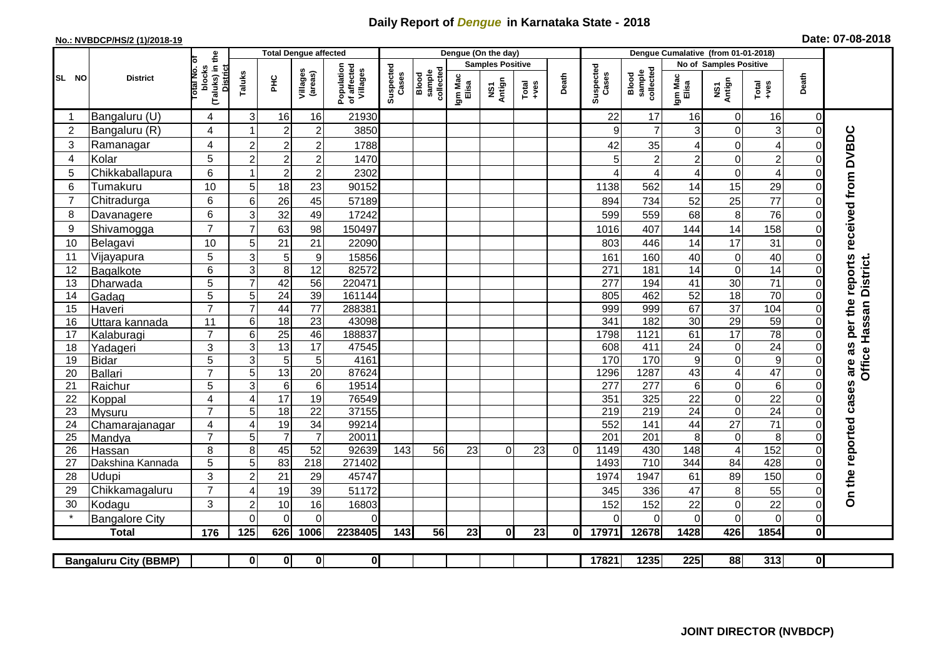## **Daily Report of** *Dengue* **in Karnataka State - 2018**

## **No.: NVBDCP/HS/2 (1)/2018-19 Date: 07-08-2018**

|                                                                                                                  | <b>District</b>       |                                                             | <b>Total Dengue affected</b> |                            |                       |                                       |                    |                              |                         | Dengue (On the day) |                  |          |                    |                              |                         |                                      |                      |                      |                                            |
|------------------------------------------------------------------------------------------------------------------|-----------------------|-------------------------------------------------------------|------------------------------|----------------------------|-----------------------|---------------------------------------|--------------------|------------------------------|-------------------------|---------------------|------------------|----------|--------------------|------------------------------|-------------------------|--------------------------------------|----------------------|----------------------|--------------------------------------------|
|                                                                                                                  |                       |                                                             |                              |                            |                       | Population<br>of affected<br>Villages |                    |                              | <b>Samples Positive</b> |                     |                  |          |                    |                              | No of Samples Positive  |                                      |                      |                      |                                            |
| SL NO                                                                                                            |                       | (Taluks) in the<br>otal No. of<br>blocks<br><b>District</b> | Taluks                       | ΞÉ                         | Villages<br>(areas)   |                                       | Suspected<br>Cases | sample<br>collected<br>Blood | Igm Mac<br>Elisa        | NS1<br>Antign       | $Tota$<br>$+ves$ | Death    | Suspected<br>Cases | collected<br>sample<br>Blood | Igm Mac<br>Elisa        | NS1<br>Antign                        | $Tota$<br>$+ves$     | Death                |                                            |
|                                                                                                                  | Bangaluru (U)         | 4                                                           | 3                            | 16                         | 16                    | 21930                                 |                    |                              |                         |                     |                  |          | 22                 | 17                           | 16                      | $\mathbf 0$                          | 16                   | $\Omega$             |                                            |
| $\overline{2}$                                                                                                   | Bangaluru (R)         | 4                                                           |                              | $\overline{c}$             | $\overline{c}$        | 3850                                  |                    |                              |                         |                     |                  |          | 9                  | $\overline{7}$               | 3                       | $\mathbf 0$                          | 3                    | $\Omega$             |                                            |
| 3                                                                                                                | Ramanagar             | 4                                                           | $\overline{c}$               | $\overline{c}$             | $\overline{2}$        | 1788                                  |                    |                              |                         |                     |                  |          | 42                 | 35                           | 4                       | 0                                    | $\overline{4}$       | 0                    | are as per the reports received from DVBDC |
| 4                                                                                                                | Kolar                 | 5                                                           | $\overline{2}$               | $\overline{2}$             | $\overline{c}$        | 1470                                  |                    |                              |                         |                     |                  |          |                    | $\overline{c}$               | $\overline{\mathbf{c}}$ | $\mathbf 0$                          | $\overline{c}$       | 0                    |                                            |
| 5                                                                                                                | Chikkaballapura       | 6                                                           |                              | $\overline{c}$             | $\overline{c}$        | 2302                                  |                    |                              |                         |                     |                  |          |                    | $\overline{4}$               | 4                       | $\mathbf 0$                          | $\overline{4}$       | $\Omega$             |                                            |
| 6                                                                                                                | Tumakuru              | 10                                                          | 5                            | 18                         | 23                    | 90152                                 |                    |                              |                         |                     |                  |          | 1138               | 562                          | 14                      | 15                                   | 29                   | $\Omega$             |                                            |
| $\overline{7}$                                                                                                   | Chitradurga           | 6                                                           | 6                            | 26                         | 45                    | 57189                                 |                    |                              |                         |                     |                  |          | 894                | 734                          | 52                      | 25                                   | 77                   | $\Omega$             |                                            |
| 8                                                                                                                | Davanagere            | 6                                                           | 3                            | 32                         | 49                    | 17242                                 |                    |                              |                         |                     |                  |          | 599                | 559                          | 68                      | 8                                    | 76                   | $\Omega$             |                                            |
| 9                                                                                                                | Shivamogga            | $\overline{7}$                                              | $\overline{7}$               | 63                         | 98                    | 150497                                |                    |                              |                         |                     |                  |          | 1016               | 407                          | 144                     | 14                                   | 158                  | 0                    |                                            |
| 10                                                                                                               | Belagavi              | 10                                                          | 5                            | 21                         | 21                    | 22090                                 |                    |                              |                         |                     |                  |          | 803                | 446                          | 14                      | 17                                   | 31                   | $\Omega$             |                                            |
| 11                                                                                                               | Vijayapura            | 5                                                           | 3                            | 5                          | $\boldsymbol{9}$      | 15856                                 |                    |                              |                         |                     |                  |          | 161                | 160                          | 40                      | $\boldsymbol{0}$                     | 40                   | 0                    |                                            |
| 12                                                                                                               | Bagalkote             | 6                                                           | 3                            | 8                          | $\overline{12}$       | 82572                                 |                    |                              |                         |                     |                  |          | 271                | 181                          | 14                      | $\overline{0}$                       | 14                   | $\Omega$             | Office Hassan District.                    |
| 13                                                                                                               | Dharwada              | 5                                                           | $\overline{7}$               | 42                         | $\overline{56}$       | 220471                                |                    |                              |                         |                     |                  |          | $\overline{277}$   | 194                          | 41                      | 30                                   | $\overline{71}$      | $\Omega$             |                                            |
| 14                                                                                                               | Gadag                 | $\overline{5}$                                              | 5                            | 24                         | 39                    | 161144                                |                    |                              |                         |                     |                  |          | 805                | 462                          | 52                      | 18                                   | $\overline{70}$      | $\Omega$             |                                            |
| 15                                                                                                               | Haveri                | $\overline{7}$                                              | $\overline{7}$               | 44                         | $\overline{77}$       | 288381                                |                    |                              |                         |                     |                  |          | 999                | 999                          | 67                      | $\overline{37}$                      | 104                  | $\Omega$             |                                            |
| 16                                                                                                               | Uttara kannada        | 11                                                          | 6                            | $\overline{18}$            | $\overline{23}$       | 43098                                 |                    |                              |                         |                     |                  |          | 341                | 182                          | $\overline{30}$         | 29                                   | 59                   | 0                    |                                            |
| 17                                                                                                               | Kalaburagi            | $\overline{7}$                                              | 6                            | $\overline{25}$            | 46                    | 188837                                |                    |                              |                         |                     |                  |          | 1798               | 1121                         | 61                      | 17                                   | 78                   | $\Omega$             |                                            |
| 18                                                                                                               | Yadageri              | 3                                                           | 3                            | 13                         | 17                    | 47545                                 |                    |                              |                         |                     |                  |          | 608                | 411                          | 24                      | $\mathbf 0$                          | 24                   | 0                    |                                            |
| 19                                                                                                               | Bidar                 | 5                                                           | 3                            | 5                          | 5                     | 4161                                  |                    |                              |                         |                     |                  |          | 170                | 170                          | 9                       | $\mathbf 0$                          | $\boldsymbol{9}$     | $\Omega$             |                                            |
| 20                                                                                                               | Ballari               | $\overline{7}$                                              | 5                            | 13                         | $\overline{20}$       | 87624                                 |                    |                              |                         |                     |                  |          | 1296               | 1287                         | 43                      | $\overline{4}$                       | 47                   | $\Omega$             |                                            |
| 21<br>22                                                                                                         | Raichur               | 5<br>$\overline{\mathbf{4}}$                                | 3                            | $\,6\,$<br>$\overline{17}$ | $6\phantom{1}6$<br>19 | 19514<br>76549                        |                    |                              |                         |                     |                  |          | 277<br>351         | 277<br>325                   | 6<br>22                 | $\boldsymbol{0}$<br>$\boldsymbol{0}$ | 6<br>$\overline{22}$ | $\Omega$<br>$\Omega$ |                                            |
| 23                                                                                                               | Koppal<br>Mysuru      | $\overline{7}$                                              | $\overline{4}$<br>5          | 18                         | $\overline{22}$       | 37155                                 |                    |                              |                         |                     |                  |          | 219                | 219                          | $\overline{24}$         | $\overline{0}$                       | 24                   | $\Omega$             |                                            |
| 24                                                                                                               | Chamarajanagar        | 4                                                           | $\overline{4}$               | 19                         | 34                    | 99214                                 |                    |                              |                         |                     |                  |          | 552                | 141                          | 44                      | $\overline{27}$                      | $\overline{71}$      | $\Omega$             |                                            |
| 25                                                                                                               | Mandya                | $\overline{7}$                                              | 5                            | $\overline{7}$             | $\overline{7}$        | 20011                                 |                    |                              |                         |                     |                  |          | 201                | 201                          | 8                       | $\pmb{0}$                            | 8                    | $\Omega$             |                                            |
| 26                                                                                                               | Hassan                | 8                                                           | 8                            | 45                         | 52                    | 92639                                 | 143                | 56                           | 23                      | $\Omega$            | 23               | $\Omega$ | 1149               | 430                          | 148                     | $\overline{\mathcal{A}}$             | 152                  | $\Omega$             |                                            |
| 27                                                                                                               | Dakshina Kannada      | 5                                                           | $\overline{5}$               | 83                         | $\overline{218}$      | 271402                                |                    |                              |                         |                     |                  |          | 1493               | 710                          | 344                     | 84                                   | 428                  | $\Omega$             |                                            |
| 28                                                                                                               | <b>Udupi</b>          | 3                                                           | $\overline{c}$               | 21                         | 29                    | 45747                                 |                    |                              |                         |                     |                  |          | 1974               | 1947                         | 61                      | 89                                   | 150                  | 0                    | On the reported cases                      |
| 29                                                                                                               | Chikkamagaluru        | $\overline{7}$                                              | 4                            | 19                         | 39                    | 51172                                 |                    |                              |                         |                     |                  |          | 345                | 336                          | 47                      | 8                                    | 55                   | $\Omega$             |                                            |
| 30                                                                                                               | Kodagu                | 3                                                           | $\overline{2}$               | $10$                       | 16                    | 16803                                 |                    |                              |                         |                     |                  |          | 152                | 152                          | 22                      | $\mathbf 0$                          | 22                   | $\overline{0}$       |                                            |
|                                                                                                                  | <b>Bangalore City</b> |                                                             | $\mathbf{0}$                 | $\Omega$                   | $\Omega$              | $\Omega$                              |                    |                              |                         |                     |                  |          |                    | $\Omega$                     | 0                       | 0                                    | $\mathbf 0$          | $\overline{0}$       |                                            |
|                                                                                                                  | <b>Total</b>          | 176                                                         | 125                          | 626                        | 1006                  | 2238405                               | 143                | 56                           | 23                      | $\mathbf{0}$        | 23               | ΩI       | 17971              | 12678                        | 1428                    | 426                                  | 1854                 | $\mathbf{0}$         |                                            |
|                                                                                                                  |                       |                                                             |                              |                            |                       |                                       |                    |                              |                         |                     |                  |          |                    |                              |                         |                                      |                      |                      |                                            |
| $\overline{\mathbf{0}}$<br>17821<br>$\mathbf{0}$<br>$\mathbf{0}$<br>$\mathbf{0}$<br><b>Bangaluru City (BBMP)</b> |                       |                                                             |                              |                            |                       |                                       |                    |                              |                         |                     | 1235             | 225      | 88                 | 313                          | $\overline{0}$          |                                      |                      |                      |                                            |